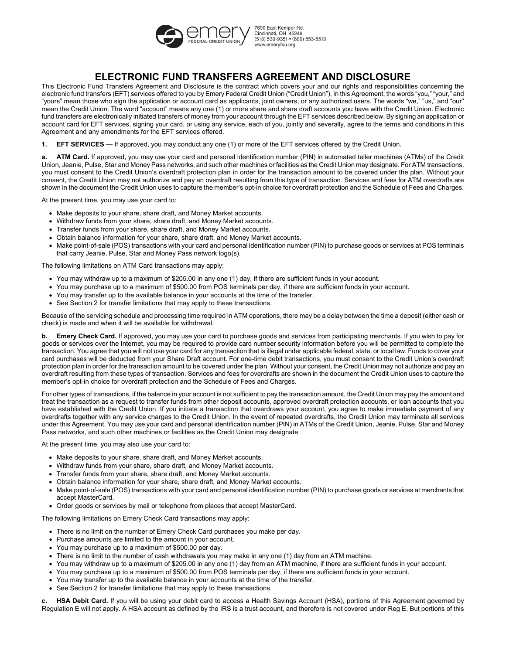

7890 Fast Kemper Rd. Cincinnati, OH 45249 (513) 530-9351 • (800) 553-5513 www.emervfcu.org

# **ELECTRONIC FUND TRANSFERS AGREEMENT AND DISCLOSURE**

This Electronic Fund Transfers Agreement and Disclosure is the contract which covers your and our rights and responsibilities concerning the electronic fund transfers (EFT) services offered to you by Emery Federal Credit Union ("Credit Union"). In this Agreement, the words "you," "your," and "yours" mean those who sign the application or account card as applicants, joint owners, or any authorized users. The words "we," "us," and "our" mean the Credit Union. The word "account" means any one (1) or more share and share draft accounts you have with the Credit Union. Electronic fund transfers are electronically initiated transfers of money from your account through the EFT services described below. By signing an application or account card for EFT services, signing your card, or using any service, each of you, jointly and severally, agree to the terms and conditions in this Agreement and any amendments for the EFT services offered.

**1. EFT SERVICES —** If approved, you may conduct any one (1) or more of the EFT services offered by the Credit Union.

**a. ATM Card.** If approved, you may use your card and personal identification number (PIN) in automated teller machines (ATMs) of the Credit Union, Jeanie, Pulse, Star and Money Pass networks, and such other machines or facilities as the Credit Union may designate. For ATM transactions, you must consent to the Credit Union's overdraft protection plan in order for the transaction amount to be covered under the plan. Without your consent, the Credit Union may not authorize and pay an overdraft resulting from this type of transaction. Services and fees for ATM overdrafts are shown in the document the Credit Union uses to capture the member's opt-in choice for overdraft protection and the Schedule of Fees and Charges.

At the present time, you may use your card to:

- Make deposits to your share, share draft, and Money Market accounts.
- Withdraw funds from your share, share draft, and Money Market accounts.
- Transfer funds from your share, share draft, and Money Market accounts.
- Obtain balance information for your share, share draft, and Money Market accounts.
- Make point-of-sale (POS) transactions with your card and personal identification number (PIN) to purchase goods or services at POS terminals that carry Jeanie, Pulse, Star and Money Pass network logo(s).

The following limitations on ATM Card transactions may apply:

- You may withdraw up to a maximum of \$205.00 in any one (1) day, if there are sufficient funds in your account.
- You may purchase up to a maximum of \$500.00 from POS terminals per day, if there are sufficient funds in your account.
- You may transfer up to the available balance in your accounts at the time of the transfer.
- See Section 2 for transfer limitations that may apply to these transactions.

Because of the servicing schedule and processing time required in ATM operations, there may be a delay between the time a deposit (either cash or check) is made and when it will be available for withdrawal.

**b. Emery Check Card.** If approved, you may use your card to purchase goods and services from participating merchants. If you wish to pay for goods or services over the Internet, you may be required to provide card number security information before you will be permitted to complete the transaction. You agree that you will not use your card for any transaction that is illegal under applicable federal, state, or local law. Funds to cover your card purchases will be deducted from your Share Draft account. For one-time debit transactions, you must consent to the Credit Union's overdraft protection plan in order for the transaction amount to be covered under the plan. Without your consent, the Credit Union may not authorize and pay an overdraft resulting from these types of transaction. Services and fees for overdrafts are shown in the document the Credit Union uses to capture the member's opt-in choice for overdraft protection and the Schedule of Fees and Charges.

For other types of transactions, if the balance in your account is not sufficient to pay the transaction amount, the Credit Union may pay the amount and treat the transaction as a request to transfer funds from other deposit accounts, approved overdraft protection accounts, or loan accounts that you have established with the Credit Union. If you initiate a transaction that overdraws your account, you agree to make immediate payment of any overdrafts together with any service charges to the Credit Union. In the event of repeated overdrafts, the Credit Union may terminate all services under this Agreement. You may use your card and personal identification number (PIN) in ATMs of the Credit Union, Jeanie, Pulse, Star and Money Pass networks, and such other machines or facilities as the Credit Union may designate.

At the present time, you may also use your card to:

- Make deposits to your share, share draft, and Money Market accounts.
- Withdraw funds from your share, share draft, and Money Market accounts.
- Transfer funds from your share, share draft, and Money Market accounts.
- Obtain balance information for your share, share draft, and Money Market accounts.
- Make point-of-sale (POS) transactions with your card and personal identification number (PIN) to purchase goods or services at merchants that accept MasterCard.
- Order goods or services by mail or telephone from places that accept MasterCard.

The following limitations on Emery Check Card transactions may apply:

- There is no limit on the number of Emery Check Card purchases you make per day.
- Purchase amounts are limited to the amount in your account.
- You may purchase up to a maximum of \$500.00 per day.
- There is no limit to the number of cash withdrawals you may make in any one (1) day from an ATM machine.
- You may withdraw up to a maximum of \$205.00 in any one (1) day from an ATM machine, if there are sufficient funds in your account.
- You may purchase up to a maximum of \$500.00 from POS terminals per day, if there are sufficient funds in your account.
- You may transfer up to the available balance in your accounts at the time of the transfer.
- See Section 2 for transfer limitations that may apply to these transactions.

**HSA Debit Card.** If you will be using your debit card to access a Health Savings Account (HSA), portions of this Agreement governed by Regulation E will not apply. A HSA account as defined by the IRS is a trust account, and therefore is not covered under Reg E. But portions of this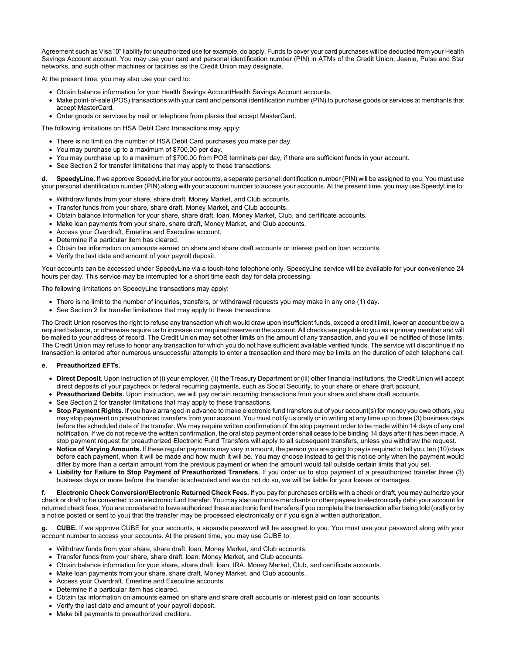Agreement such as Visa "0" liability for unauthorized use for example, do apply. Funds to cover your card purchases will be deducted from your Health Savings Account account. You may use your card and personal identification number (PIN) in ATMs of the Credit Union, Jeanie, Pulse and Star networks, and such other machines or facilities as the Credit Union may designate.

At the present time, you may also use your card to:

- Obtain balance information for your Health Savings AccountHealth Savings Account accounts.
- Make point-of-sale (POS) transactions with your card and personal identification number (PIN) to purchase goods or services at merchants that accept MasterCard.
- Order goods or services by mail or telephone from places that accept MasterCard.

The following limitations on HSA Debit Card transactions may apply:

- There is no limit on the number of HSA Debit Card purchases you make per day.
- You may purchase up to a maximum of \$700.00 per day.
- You may purchase up to a maximum of \$700.00 from POS terminals per day, if there are sufficient funds in your account.
- See Section 2 for transfer limitations that may apply to these transactions.

**d. SpeedyLine.** If we approve SpeedyLine for your accounts, a separate personal identification number (PIN) will be assigned to you. You must use your personal identification number (PIN) along with your account number to access your accounts. At the present time, you may use SpeedyLine to:

- Withdraw funds from your share, share draft, Money Market, and Club accounts.
- Transfer funds from your share, share draft, Money Market, and Club accounts.
- Obtain balance information for your share, share draft, loan, Money Market, Club, and certificate accounts.
- Make loan payments from your share, share draft, Money Market, and Club accounts.
- Access your Overdraft, Emerline and Execuline account.
- Determine if a particular item has cleared.
- Obtain tax information on amounts earned on share and share draft accounts or interest paid on loan accounts.
- Verify the last date and amount of your payroll deposit.

Your accounts can be accessed under SpeedyLine via a touch-tone telephone only. SpeedyLine service will be available for your convenience 24 hours per day. This service may be interrupted for a short time each day for data processing.

The following limitations on SpeedyLine transactions may apply:

- There is no limit to the number of inquiries, transfers, or withdrawal requests you may make in any one (1) day.
- See Section 2 for transfer limitations that may apply to these transactions.

The Credit Union reserves the right to refuse any transaction which would draw upon insufficient funds, exceed a credit limit, lower an account below a required balance, or otherwise require us to increase our required reserve on the account. All checks are payable to you as a primary member and will be mailed to your address of record. The Credit Union may set other limits on the amount of any transaction, and you will be notified of those limits. The Credit Union may refuse to honor any transaction for which you do not have sufficient available verified funds. The service will discontinue if no transaction is entered after numerous unsuccessful attempts to enter a transaction and there may be limits on the duration of each telephone call.

#### **e. Preauthorized EFTs.**

- **Direct Deposit.** Upon instruction of (i) your employer, (ii) the Treasury Department or (iii) other financial institutions, the Credit Union will accept direct deposits of your paycheck or federal recurring payments, such as Social Security, to your share or share draft account.
- **Preauthorized Debits.** Upon instruction, we will pay certain recurring transactions from your share and share draft accounts.
- See Section 2 for transfer limitations that may apply to these transactions.
- **Stop Payment Rights.** If you have arranged in advance to make electronic fund transfers out of your account(s) for money you owe others, you may stop payment on preauthorized transfers from your account. You must notify us orally or in writing at any time up to three (3) business days before the scheduled date of the transfer. We may require written confirmation of the stop payment order to be made within 14 days of any oral notification. If we do not receive the written confirmation, the oral stop payment order shall cease to be binding 14 days after it has been made. A stop payment request for preauthorized Electronic Fund Transfers will apply to all subsequent transfers, unless you withdraw the request.
- **Notice of Varying Amounts.** If these regular payments may vary in amount, the person you are going to pay is required to tell you, ten (10) days before each payment, when it will be made and how much it will be. You may choose instead to get this notice only when the payment would differ by more than a certain amount from the previous payment or when the amount would fall outside certain limits that you set.
- **Liability for Failure to Stop Payment of Preauthorized Transfers.** If you order us to stop payment of a preauthorized transfer three (3) business days or more before the transfer is scheduled and we do not do so, we will be liable for your losses or damages.

**f. Electronic Check Conversion/Electronic Returned Check Fees.** If you pay for purchases or bills with a check or draft, you may authorize your check or draft to be converted to an electronic fund transfer. You may also authorize merchants or other payees to electronically debit your account for returned check fees. You are considered to have authorized these electronic fund transfers if you complete the transaction after being told (orally or by a notice posted or sent to you) that the transfer may be processed electronically or if you sign a written authorization.

**g. CUBE.** If we approve CUBE for your accounts, a separate password will be assigned to you. You must use your password along with your account number to access your accounts. At the present time, you may use CUBE to:

- Withdraw funds from your share, share draft, loan, Money Market, and Club accounts.
- Transfer funds from your share, share draft, loan, Money Market, and Club accounts.
- Obtain balance information for your share, share draft, loan, IRA, Money Market, Club, and certificate accounts.
- Make loan payments from your share, share draft, Money Market, and Club accounts.
- Access your Overdraft, Emerline and Execuline accounts.
- Determine if a particular item has cleared.
- Obtain tax information on amounts earned on share and share draft accounts or interest paid on loan accounts.
- Verify the last date and amount of your payroll deposit.
- Make bill payments to preauthorized creditors.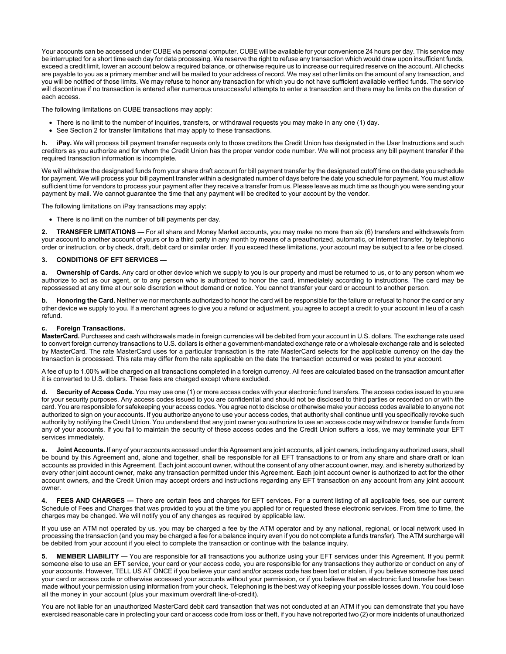Your accounts can be accessed under CUBE via personal computer. CUBE will be available for your convenience 24 hours per day. This service may be interrupted for a short time each day for data processing. We reserve the right to refuse any transaction which would draw upon insufficient funds, exceed a credit limit, lower an account below a required balance, or otherwise require us to increase our required reserve on the account. All checks are payable to you as a primary member and will be mailed to your address of record. We may set other limits on the amount of any transaction, and you will be notified of those limits. We may refuse to honor any transaction for which you do not have sufficient available verified funds. The service will discontinue if no transaction is entered after numerous unsuccessful attempts to enter a transaction and there may be limits on the duration of each access.

The following limitations on CUBE transactions may apply:

- There is no limit to the number of inquiries, transfers, or withdrawal requests you may make in any one (1) day.
- See Section 2 for transfer limitations that may apply to these transactions.

h. **iPay.** We will process bill payment transfer requests only to those creditors the Credit Union has designated in the User Instructions and such creditors as you authorize and for whom the Credit Union has the proper vendor code number. We will not process any bill payment transfer if the required transaction information is incomplete.

We will withdraw the designated funds from your share draft account for bill payment transfer by the designated cutoff time on the date you schedule for payment. We will process your bill payment transfer within a designated number of days before the date you schedule for payment. You must allow sufficient time for vendors to process your payment after they receive a transfer from us. Please leave as much time as though you were sending your payment by mail. We cannot guarantee the time that any payment will be credited to your account by the vendor.

The following limitations on iPay transactions may apply:

• There is no limit on the number of bill payments per day.

**2. TRANSFER LIMITATIONS —** For all share and Money Market accounts, you may make no more than six (6) transfers and withdrawals from your account to another account of yours or to a third party in any month by means of a preauthorized, automatic, or Internet transfer, by telephonic order or instruction, or by check, draft, debit card or similar order. If you exceed these limitations, your account may be subject to a fee or be closed.

# **3. CONDITIONS OF EFT SERVICES —**

**a. Ownership of Cards.** Any card or other device which we supply to you is our property and must be returned to us, or to any person whom we authorize to act as our agent, or to any person who is authorized to honor the card, immediately according to instructions. The card may be repossessed at any time at our sole discretion without demand or notice. You cannot transfer your card or account to another person.

**b. Honoring the Card.** Neither we nor merchants authorized to honor the card will be responsible for the failure or refusal to honor the card or any other device we supply to you. If a merchant agrees to give you a refund or adjustment, you agree to accept a credit to your account in lieu of a cash refund.

## **c. Foreign Transactions.**

**MasterCard.** Purchases and cash withdrawals made in foreign currencies will be debited from your account in U.S. dollars. The exchange rate used to convert foreign currency transactions to U.S. dollars is either a government-mandated exchange rate or a wholesale exchange rate and is selected by MasterCard. The rate MasterCard uses for a particular transaction is the rate MasterCard selects for the applicable currency on the day the transaction is processed. This rate may differ from the rate applicable on the date the transaction occurred or was posted to your account.

A fee of up to 1.00% will be charged on all transactions completed in a foreign currency. All fees are calculated based on the transaction amount after it is converted to U.S. dollars. These fees are charged except where excluded.

**d. Security of Access Code.** You may use one (1) or more access codes with your electronic fund transfers. The access codes issued to you are for your security purposes. Any access codes issued to you are confidential and should not be disclosed to third parties or recorded on or with the card. You are responsible for safekeeping your access codes. You agree not to disclose or otherwise make your access codes available to anyone not authorized to sign on your accounts. If you authorize anyone to use your access codes, that authority shall continue until you specifically revoke such authority by notifying the Credit Union. You understand that any joint owner you authorize to use an access code may withdraw or transfer funds from any of your accounts. If you fail to maintain the security of these access codes and the Credit Union suffers a loss, we may terminate your EFT services immediately.

**e. Joint Accounts.** If any of your accounts accessed under this Agreement are joint accounts, all joint owners, including any authorized users, shall be bound by this Agreement and, alone and together, shall be responsible for all EFT transactions to or from any share and share draft or loan accounts as provided in this Agreement. Each joint account owner, without the consent of any other account owner, may, and is hereby authorized by every other joint account owner, make any transaction permitted under this Agreement. Each joint account owner is authorized to act for the other account owners, and the Credit Union may accept orders and instructions regarding any EFT transaction on any account from any joint account owner.

**4. FEES AND CHARGES —** There are certain fees and charges for EFT services. For a current listing of all applicable fees, see our current Schedule of Fees and Charges that was provided to you at the time you applied for or requested these electronic services. From time to time, the charges may be changed. We will notify you of any changes as required by applicable law.

If you use an ATM not operated by us, you may be charged a fee by the ATM operator and by any national, regional, or local network used in processing the transaction (and you may be charged a fee for a balance inquiry even if you do not complete a funds transfer). The ATM surcharge will be debited from your account if you elect to complete the transaction or continue with the balance inquiry.

**5. MEMBER LIABILITY —** You are responsible for all transactions you authorize using your EFT services under this Agreement. If you permit someone else to use an EFT service, your card or your access code, you are responsible for any transactions they authorize or conduct on any of your accounts. However, TELL US AT ONCE if you believe your card and/or access code has been lost or stolen, if you believe someone has used your card or access code or otherwise accessed your accounts without your permission, or if you believe that an electronic fund transfer has been made without your permission using information from your check. Telephoning is the best way of keeping your possible losses down. You could lose all the money in your account (plus your maximum overdraft line-of-credit).

You are not liable for an unauthorized MasterCard debit card transaction that was not conducted at an ATM if you can demonstrate that you have exercised reasonable care in protecting your card or access code from loss or theft, if you have not reported two (2) or more incidents of unauthorized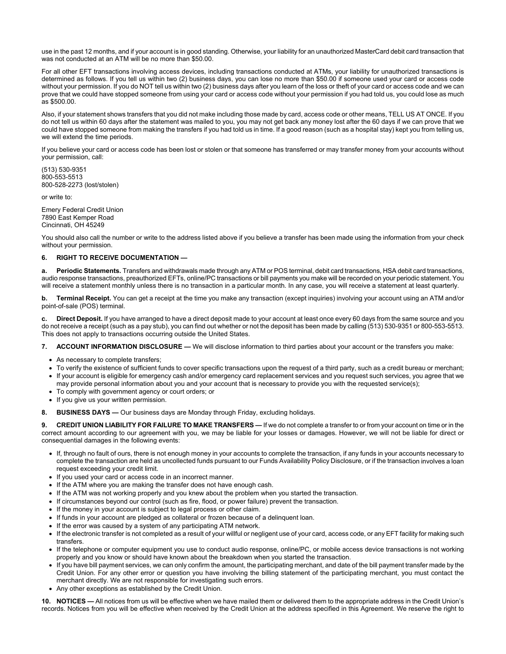use in the past 12 months, and if your account is in good standing. Otherwise, your liability for an unauthorized MasterCard debit card transaction that was not conducted at an ATM will be no more than \$50.00.

For all other EFT transactions involving access devices, including transactions conducted at ATMs, your liability for unauthorized transactions is determined as follows. If you tell us within two (2) business days, you can lose no more than \$50.00 if someone used your card or access code without your permission. If you do NOT tell us within two (2) business days after you learn of the loss or theft of your card or access code and we can prove that we could have stopped someone from using your card or access code without your permission if you had told us, you could lose as much as \$500.00.

Also, if your statement shows transfers that you did not make including those made by card, access code or other means, TELL US AT ONCE. If you do not tell us within 60 days after the statement was mailed to you, you may not get back any money lost after the 60 days if we can prove that we could have stopped someone from making the transfers if you had told us in time. If a good reason (such as a hospital stay) kept you from telling us, we will extend the time periods.

If you believe your card or access code has been lost or stolen or that someone has transferred or may transfer money from your accounts without your permission, call:

(513) 530-9351 800-553-5513 800-528-2273 (lost/stolen)

or write to:

Emery Federal Credit Union 7890 East Kemper Road Cincinnati, OH 45249

You should also call the number or write to the address listed above if you believe a transfer has been made using the information from your check without your permission.

## **6. RIGHT TO RECEIVE DOCUMENTATION —**

**a. Periodic Statements.** Transfers and withdrawals made through any ATM or POS terminal, debit card transactions, HSA debit card transactions, audio response transactions, preauthorized EFTs, online/PC transactions or bill payments you make will be recorded on your periodic statement. You will receive a statement monthly unless there is no transaction in a particular month. In any case, you will receive a statement at least quarterly.

**b. Terminal Receipt.** You can get a receipt at the time you make any transaction (except inquiries) involving your account using an ATM and/or point-of-sale (POS) terminal.

**c. Direct Deposit.** If you have arranged to have a direct deposit made to your account at least once every 60 days from the same source and you do not receive a receipt (such as a pay stub), you can find out whether or not the deposit has been made by calling (513) 530-9351 or 800-553-5513. This does not apply to transactions occurring outside the United States.

**7. ACCOUNT INFORMATION DISCLOSURE —** We will disclose information to third parties about your account or the transfers you make:

- As necessary to complete transfers;
- To verify the existence of sufficient funds to cover specific transactions upon the request of a third party, such as a credit bureau or merchant;
- If your account is eligible for emergency cash and/or emergency card replacement services and you request such services, you agree that we
- may provide personal information about you and your account that is necessary to provide you with the requested service(s);
- To comply with government agency or court orders; or
- If you give us your written permission.

**8. BUSINESS DAYS —** Our business days are Monday through Friday, excluding holidays.

**9. CREDIT UNION LIABILITY FOR FAILURE TO MAKE TRANSFERS —** If we do not complete a transfer to or from your account on time or in the correct amount according to our agreement with you, we may be liable for your losses or damages. However, we will not be liable for direct or consequential damages in the following events:

- If, through no fault of ours, there is not enough money in your accounts to complete the transaction, if any funds in your accounts necessary to complete the transaction are held as uncollected funds pursuant to our Funds Availability Policy Disclosure, or if the transaction involves a loan request exceeding your credit limit.
- If you used your card or access code in an incorrect manner.
- If the ATM where you are making the transfer does not have enough cash.
- If the ATM was not working properly and you knew about the problem when you started the transaction.
- If circumstances beyond our control (such as fire, flood, or power failure) prevent the transaction.
- If the money in your account is subject to legal process or other claim.
- If funds in your account are pledged as collateral or frozen because of a delinquent loan.
- If the error was caused by a system of any participating ATM network.
- If the electronic transfer is not completed as a result of your willful or negligent use of your card, access code, or any EFT facility for making such transfers.
- If the telephone or computer equipment you use to conduct audio response, online/PC, or mobile access device transactions is not working properly and you know or should have known about the breakdown when you started the transaction.
- If you have bill payment services, we can only confirm the amount, the participating merchant, and date of the bill payment transfer made by the Credit Union. For any other error or question you have involving the billing statement of the participating merchant, you must contact the merchant directly. We are not responsible for investigating such errors.
- Any other exceptions as established by the Credit Union.

**10. NOTICES —** All notices from us will be effective when we have mailed them or delivered them to the appropriate address in the Credit Union's records. Notices from you will be effective when received by the Credit Union at the address specified in this Agreement. We reserve the right to